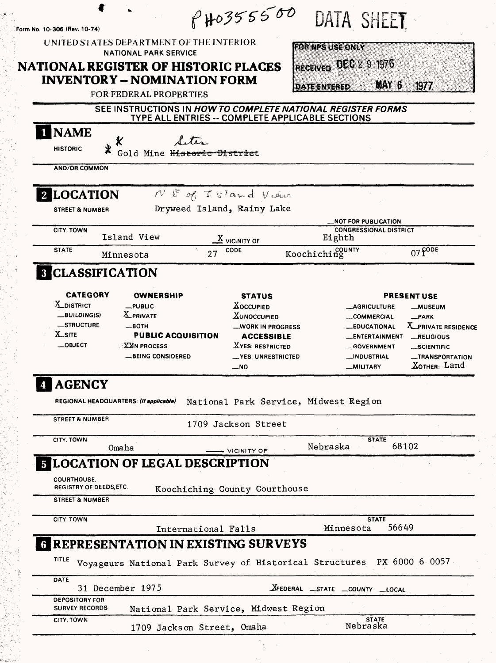| Form No. 10-306 (Rev. 10-74)                                             | UNITED STATES DEPARTMENT OF THE INTERIOR                                                                                          | $f'$ HO355500                                                                                                                                     | <b>HORNIZSUSHONIV</b>              | DATA SHEET                                                                                                                                   |                                                                                                                                       |
|--------------------------------------------------------------------------|-----------------------------------------------------------------------------------------------------------------------------------|---------------------------------------------------------------------------------------------------------------------------------------------------|------------------------------------|----------------------------------------------------------------------------------------------------------------------------------------------|---------------------------------------------------------------------------------------------------------------------------------------|
| <b>NATIONAL REGISTER OF HISTORIC PLACES</b>                              | <b>NATIONAL PARK SERVICE</b><br><b>INVENTORY -- NOMINATION FORM</b>                                                               |                                                                                                                                                   |                                    | RECEIVED DEC 2 9 1976                                                                                                                        |                                                                                                                                       |
|                                                                          | <b>FOR FEDERAL PROPERTIES</b>                                                                                                     |                                                                                                                                                   | <b>DATE ENTERED</b>                | MAY 6                                                                                                                                        | 1977                                                                                                                                  |
|                                                                          | SEE INSTRUCTIONS IN HOW TO COMPLETE NATIONAL REGISTER FORMS                                                                       |                                                                                                                                                   |                                    |                                                                                                                                              |                                                                                                                                       |
|                                                                          |                                                                                                                                   | TYPE ALL ENTRIES -- COMPLETE APPLICABLE SECTIONS                                                                                                  |                                    |                                                                                                                                              |                                                                                                                                       |
| 1 NAME<br>Х                                                              |                                                                                                                                   |                                                                                                                                                   |                                    |                                                                                                                                              |                                                                                                                                       |
| $\star$<br><b>HISTORIC</b>                                               | Gold Mine Historic District                                                                                                       |                                                                                                                                                   |                                    |                                                                                                                                              |                                                                                                                                       |
| <b>AND/OR COMMON</b>                                                     |                                                                                                                                   |                                                                                                                                                   |                                    |                                                                                                                                              |                                                                                                                                       |
| 2 LOCATION                                                               |                                                                                                                                   | $N \mathbb{E}$ of $TS$ and Viour                                                                                                                  |                                    |                                                                                                                                              |                                                                                                                                       |
| <b>STREET &amp; NUMBER</b>                                               |                                                                                                                                   | Dryweed Island, Rainy Lake                                                                                                                        |                                    |                                                                                                                                              |                                                                                                                                       |
| CITY, TOWN                                                               |                                                                                                                                   |                                                                                                                                                   |                                    | <b>_NOT FOR PUBLICATION</b><br><b>CONGRESSIONAL DISTRICT</b>                                                                                 |                                                                                                                                       |
|                                                                          | Island View                                                                                                                       | $\underline{X}$ vicinity of                                                                                                                       | Eighth                             |                                                                                                                                              |                                                                                                                                       |
| <b>STATE</b>                                                             | Minnesota                                                                                                                         | CODE                                                                                                                                              | Koochiching                        |                                                                                                                                              | $07f$ ODE                                                                                                                             |
| <b>8 CLASSIFICATION</b>                                                  |                                                                                                                                   |                                                                                                                                                   |                                    |                                                                                                                                              |                                                                                                                                       |
| X_DISTRICT<br>$-BULDING(S)$<br>_STRUCTURE<br><b>X</b> _SITE<br>$$ OBJECT | $L$ PUBLIC<br>X PRIVATE<br>—вотн<br><b>PUBLIC ACQUISITION</b><br>$\mathbb{R}$ $\mathbb{X}$ an process<br><b>_BEING CONSIDERED</b> | <b>XOCCUPIED</b><br><b>XUNOCCUPIED</b><br><b>_MORK IN PROGRESS</b><br><b>ACCESSIBLE</b><br><b>XYES: RESTRICTED</b><br>_YES: UNRESTRICTED<br>$-NO$ |                                    | <b>__AGRICULTURE</b><br><b>__COMMERCIAL</b><br><b>__EDUCATIONAL</b><br>_ENTERTAINMENT<br><b>GOVERNMENT</b><br>_INDUSTRIAL<br><b>MILITARY</b> | <b>__MUSEUM</b><br>$R$ PARK<br><b>X_PRIVATE RESIDENCE</b><br>RELIGIOUS<br>SCIENTIFIC<br><b>_TRANSPORTATION</b><br><u>Хотнєв:</u> Land |
| <b>AGENCY</b>                                                            |                                                                                                                                   |                                                                                                                                                   |                                    |                                                                                                                                              |                                                                                                                                       |
| REGIONAL HEADQUARTERS: (If applicable)                                   |                                                                                                                                   | National Park Service, Midwest Region                                                                                                             |                                    |                                                                                                                                              |                                                                                                                                       |
| <b>STREET &amp; NUMBER</b>                                               |                                                                                                                                   | 1709 Jackson Street                                                                                                                               |                                    |                                                                                                                                              |                                                                                                                                       |
| CITY, TOWN                                                               | Omaha                                                                                                                             |                                                                                                                                                   | Nebraska                           | <b>STATE</b>                                                                                                                                 | 68102                                                                                                                                 |
|                                                                          | <b>5 LOCATION OF LEGAL DESCRIPTION</b>                                                                                            | VICINITY OF                                                                                                                                       |                                    |                                                                                                                                              |                                                                                                                                       |
| <b>COURTHOUSE.</b>                                                       |                                                                                                                                   |                                                                                                                                                   |                                    |                                                                                                                                              |                                                                                                                                       |
| <b>REGISTRY OF DEEDS, ETC.</b>                                           |                                                                                                                                   | Koochiching County Courthouse                                                                                                                     |                                    |                                                                                                                                              |                                                                                                                                       |
| <b>STREET &amp; NUMBER</b>                                               |                                                                                                                                   |                                                                                                                                                   |                                    |                                                                                                                                              |                                                                                                                                       |
| CITY, TOWN                                                               |                                                                                                                                   | International Falls                                                                                                                               |                                    | <b>STATE</b><br>56649<br>Minnesota                                                                                                           |                                                                                                                                       |
|                                                                          | <b>6 REPRESENTATION IN EXISTING SURVEYS</b>                                                                                       |                                                                                                                                                   |                                    |                                                                                                                                              |                                                                                                                                       |
| TITLE                                                                    | Voyageurs National Park Survey of Historical Structures PX 6000 6 0057                                                            |                                                                                                                                                   |                                    |                                                                                                                                              |                                                                                                                                       |
| DATE                                                                     | 31 December 1975                                                                                                                  |                                                                                                                                                   | <b>XFEDERAL</b> STATE COUNTY LOCAL |                                                                                                                                              |                                                                                                                                       |
|                                                                          |                                                                                                                                   |                                                                                                                                                   |                                    |                                                                                                                                              |                                                                                                                                       |
| <b>DEPOSITORY FOR</b>                                                    |                                                                                                                                   |                                                                                                                                                   |                                    |                                                                                                                                              |                                                                                                                                       |
| <b>SURVEY RECORDS</b><br>CITY, TOWN                                      | National Park Service, Midwest Region<br>1709 Jackson Street, Omaha                                                               |                                                                                                                                                   |                                    | <b>STATE</b><br>Nebraska                                                                                                                     |                                                                                                                                       |

- 51

经经济法院 化学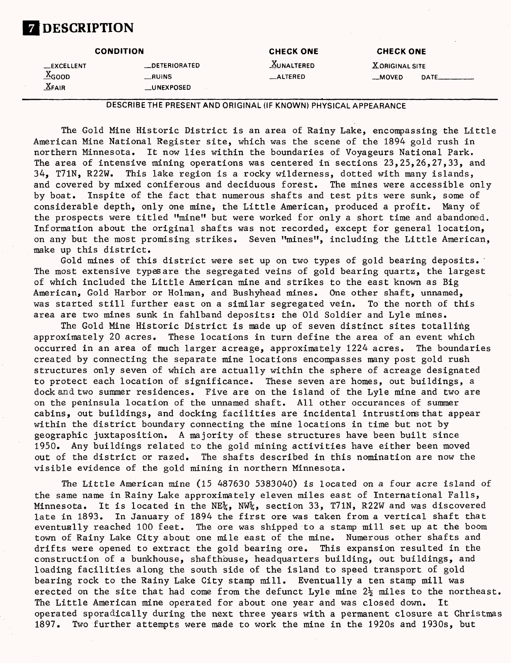# **7 DESCRIPTION**

|                    | <b>CONDITION</b>   | <b>CHECK ONE</b> | <b>CHECK ONE</b>      |  |
|--------------------|--------------------|------------------|-----------------------|--|
| <b>LEXCELLENT</b>  | _DETERIORATED      | $X$ UNALTERED    | <b>XORIGINAL SITE</b> |  |
| v<br>$\Delta$ GOOD | __RUINS            | _ALTERED         | __MOVED               |  |
| $X$ Fair           | <b>__UNEXPOSED</b> |                  |                       |  |

**DESCRIBE THE PRESENT AND ORIGINAL (IF KNOWN) PHYSICAL APPEARANCE**

The Gold Mine Historic District is an area of Rainy Lake, encompassing the Little American Mine National Register site, which was the scene of the 1894 gold rush in northern Minnesota. It now lies within the boundaries of Voyageurs National Park. The area of intensive mining operations was centered in sections  $23,25,26,27,33$ , and 34, T71N, R22W. This lake region is a rocky wilderness, dotted with many islands, and covered by mixed coniferous and deciduous forest. The mines were accessible only by boat. Inspite of the fact that numerous shafts and test pits were sunk, some of considerable depth, only one mine, the Little American, produced a profit. Many of the prospects were titled "mine" but were worked for only a short time and abandoned. Information about the original shafts was not recorded, except for general location, on any but the most promising strikes. Seven "mines", including the Little American, make up this district.

Gold mines of this district were set up on two types of gold bearing deposits. The most extensive types are the segregated veins of gold bearing quartz, the largest of which included the Little American mine and strikes to the east known as Big American, Gold Harbor or Holman, and Bushyhead mines. One other shaft, unnamed, was started still further east on a similar segregated vein. To the north of this area are two mines sunk in fahlband deposits: the Old Soldier and Lyle mines.

The Gold Mine Historic District is made up of seven distinct sites totalling approximately 20 acres. These locations in turn define the area of an event which occurred in an area of much larger acreage, approximately 1224 acres. The boundaries created by connecting the separate mine locations encompasses many post gold rush structures only seven of which are actually within the sphere of acreage designated to protect each location of significance. These seven are homes, out buildings, a dock and two summer residences. Five are on the island of the Lyle mine and two are on the peninsula location of the unnamed shaft. All other occurances of summer cabins, out buildings, and docking facilities are incidental intrustions that appear within the district boundary connecting the mine locations in time but not by geographic juxtaposition. A majority of these structures have been built since 1950. Any buildings related to the gold mining activities have either been moved out of the district or razed. The shafts described in this nomination are now the visible evidence of the gold mining in northern Minnesota.

The Little American mine (15 487630 5383040) is located on a four acre island of the same name in Rainy Lake approximately eleven miles east of International Falls, Minnesota. It is located in the NE $\chi$ , NW $\chi$ , section 33, T71N, R22W and was discovered late in 1893. In January of 1894 the first ore was taken from a vertical shaft that eventually reached 100 feet. The ore was shipped to a stamp mill set up at the boom town of Rainy Lake City about one mile east of the mine. Numerous other shafts and drifts were opened to extract the gold bearing ore. This expansion resulted in the construction of a bunkhouse, shafthbuse, headquarters building, out buildings, and loading facilities along the south side of the island to speed transport of gold bearing rock to the Rainy Lake City stamp mill. Eventually a ten stamp mill was erected on the site that had come from the defunct Lyle mine  $2\frac{1}{2}$  miles to the northeast. The Little American mine operated for about one year and was closed down. It operated sporadically during the next three years with a permanent closure at Christmas 1897. Two further attempts were made to work the mine in the 1920s and 1930s, but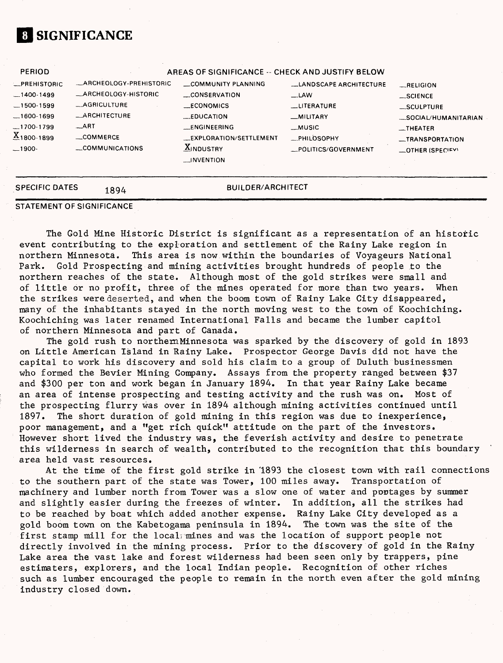## **01 SIGNIFICANCE**

| <b>PERIOD</b>       |                         | AREAS OF SIGNIFICANCE -- CHECK AND JUSTIFY BELOW |                               |                     |
|---------------------|-------------------------|--------------------------------------------------|-------------------------------|---------------------|
| <b>LPREHISTORIC</b> | -ARCHEOLOGY-PREHISTORIC | COMMUNITY PLANNING                               | <b>LANDSCAPE ARCHITECTURE</b> | $-$ RELIGION        |
| $-1400-1499$        | _ARCHEOLOGY-HISTORIC    | CONSERVATION                                     | $-LAW$                        | $\_SCIENCE$         |
| $-1500 - 1599$      | _AGRICULTURE            | __ECONOMICS                                      | <b>LITERATURE</b>             | _SCULPTURE          |
| $-1600-1699$        | _ARCHITECTURE           | LEDUCATION                                       | <b>MILITARY</b>               | SOCIAL/HUMANITARIAN |
| $-1700-1799$        | $-$ ART                 | <b>LENGINEERING</b>                              | __MUSIC                       | $-$ THEATER         |
| $X_{1800-1899}$     | COMMERCE                | <b>EXPLORATION/SETTLEMENT</b>                    | PHILOSOPHY                    | _TRANSPORTATION     |
| $-1900-$            | COMMUNICATIONS          | $\underline{X}$ INDUSTRY                         | _POLITICS/GOVERNMENT          | _OTHER (SPECIEV)    |
|                     |                         | <b>INVENTION</b>                                 |                               |                     |

#### SPECIFIC DATES 1894 **BUILDER/ARCHITECT**

**STATEMENT OF SIGNIFICANCE**

The Gold Mine Historic District is significant as a representation of an historic event contributing to the exploration and settlement of the Rainy Lake region in northern Minnesota. This area is now within the boundaries of Voyageurs National Park. Gold Prospecting and mining activities brought hundreds of people to the northern reaches of the state. Although most of the gold strikes were small and of little or no profit, three of the mines operated for more than two years. When the strikes were deserted, and when the boom town of Rainy Lake City disappeared, many of the inhabitants stayed in the north moving west to the town of Koochiching. Koochiching was later renamed International Falls and became the lumber capitol of northern Minnesota and part of Canada.

The gold rush to northemMinnesota was sparked by the discovery of gold in 1893 on Little American Island in Rainy Lake. Prospector George Davis did not have the capital to work his discovery and sold his claim to a group of Duluth businessmen who formed the Bevier Mining Company. Assays from the property ranged between \$37 and \$300 per ton and work began in January 1894. In that year Rainy Lake became an area of intense prospecting and testing activity and the rush was on. Most of the prospecting flurry was over in 1894 although mining activities continued until 1897. The short duration of gold mining in this region was due to inexperience, poor management, and a "get rich quick" attitude on the part of the investors. However short lived the industry was, the feverish activity and desire to penetrate this wilderness in search of wealth, contributed to the recognition that this boundary area held vast resources.

At the time of the first gold strike in 1893 the closest town with rail connections to the southern part of the state was Tower, 100 miles away. Transportation of machinery and lumber north from Tower was a slow one of water and portages by summer and slightly easier during the freezes of winter. In addition, all the strikes had to be reached by boat which added another expense. Rainy Lake City developed as a gold boom town on the Kabetogama peninsula in 1894. The town was the site of the first stamp mill for the local; mines and was the location of support people not directly involved in the mining process. Prior to the discovery of gold in the Rainy Lake area the vast lake and forest wilderness had been seen only by trappers, pine estimaters, explorers, and the local Indian people. Recognition of other riches such as lumber encouraged the people to remain in the north even after the gold mining industry closed down.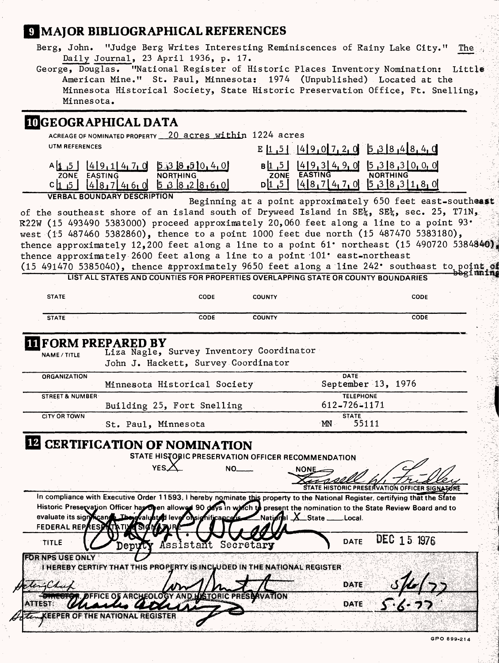# **MAJOR BIBLIOGRAPHICAL REFERENCES**

| Berg, John. "Judge Berg Writes Interesting Reminiscences of Rainy Lake City."       | The $\mathbb{R}^2$ |
|-------------------------------------------------------------------------------------|--------------------|
| Daily Journal, 23 April 1936, p. $17.$                                              |                    |
| George, Douglas. "National Register of Historic Places Inventory Nomination: Little |                    |
| American Mine." St. Paul, Minnesota: 1974 (Unpublished) Located at the              |                    |
| Minnesota Historical Society, State Historic Preservation Office, Ft. Snelling,     |                    |

Minnesota.

# **MIGEOGRAPHICAL DATA**

| ACREAGE OF NOMINATED PROPERTY 20 acres within 1224 acres<br>UTM REFERENCES<br>E $1, 5$ $1, 4$ 9 0 7 2 0 5 3 8 4 8 4 0<br>B[1 5] [4] 9, 3] 4, 9, 0] [5, 3 8, 3 0, 0, 0]<br>ZONE EASTING NORTHING<br>$A\begin{bmatrix} 1 & 5 \end{bmatrix}$ $\begin{bmatrix} 4 & 9 & 1 \end{bmatrix}$ $\begin{bmatrix} 4 & 7 & 0 \end{bmatrix}$ $\begin{bmatrix} 5 & 3 & 18 & 5 \end{bmatrix}$ 0, 4, 0<br>EASTING<br><b>NORTHING</b><br>ZONE<br>$D$ [1,5] [4[8,7[4,7,0] [5,3[8,3][1,8,0]<br>$48,7460$ 5382860<br>C 1, 5 <br><b>VERBAL BOUNDARY DESCRIPTION</b><br>Beginning at a point approximately 650 feet east-southeast<br>of the southeast shore of an island south of Dryweed Island in SE <sup>1</sup> <sub>2</sub> , SE <sup>1</sup> <sub>2</sub> , sec. 25, T71N <sub>2</sub><br>$R22W$ (15 493490 5383000) proceed approximately 20,060 feet along a line to a point 93.<br>west (15 487460 5382860), thence to a point 1000 feet due north (15 487470 5383180),<br>thence approximately 12,200 feet along a line to a point $61^{\circ}$ northeast (15 490720 5384840)<br>thence approximately 2600 feet along a line to a point 101' east-northeast<br>(15 491470 5385040), thence approximately 9650 feet along a line 242' southeast to point of<br><del>Je</del> rimatan<br>LIST ALL STATES AND COUNTIES FOR PROPERTIES OVERLAPPING STATE OR COUNTY BOUNDARIES<br><b>STATE</b><br>CODE<br><b>COUNTY</b><br>CODE<br>CODE<br>CODE<br><b>COUNTY</b><br>STATE :<br><b>IT FORM PREPARED BY</b><br>Liza Nagle, Survey Inventory Coordinator<br>NAME / TITLE<br>John J. Hackett, Survey Coordinator<br>DATE-<br>ORGANIZATION<br>September 13, 1976<br>Minnesota Historical Society<br><b>TELEPHONE</b><br>STREET & NUMBER<br>612-726-1171<br>Building 25, Fort Snelling<br><b>STATE</b><br><b>CITY OR TOWN</b><br>55111<br>MN<br>St. Paul, Minnesota<br><b>IZ CERTIFICATION OF NOMINATION</b><br>STATE HISTORIC PRESERVATION OFFICER RECOMMENDATION<br>YES.Z<br>NO.<br>NONE<br>STATE HISTORIC PRESERVATION OFFICER SIGNATIONE<br>In compliance with Executive Order 11593, I hereby nominate this property to the National Register, certifying that the State<br>Historic Preservation Officer has Deen allowed 90 days in watch to present the nomination to the State Review Board and to<br>evaluate its signicand The gvaluated lever on significance is National X State<br><sub>-</sub> Local.<br>FEDERAL REPAESE<br>DEC 15 1976<br><b>DATE</b><br>TITLE<br>Assistant Secretary<br>Deputy<br><b>FOR NPS USE ONLY</b><br>THEREBY CERTIFY THAT THIS PROPERTY IS INCUUDED IN THE NATIONAL REGISTER.<br>DATE<br>leng Chu<br><b>ISTORIC PRESSAVATION</b><br>ARCHEOLOC<br>DATE |               |  |  |  |  |
|------------------------------------------------------------------------------------------------------------------------------------------------------------------------------------------------------------------------------------------------------------------------------------------------------------------------------------------------------------------------------------------------------------------------------------------------------------------------------------------------------------------------------------------------------------------------------------------------------------------------------------------------------------------------------------------------------------------------------------------------------------------------------------------------------------------------------------------------------------------------------------------------------------------------------------------------------------------------------------------------------------------------------------------------------------------------------------------------------------------------------------------------------------------------------------------------------------------------------------------------------------------------------------------------------------------------------------------------------------------------------------------------------------------------------------------------------------------------------------------------------------------------------------------------------------------------------------------------------------------------------------------------------------------------------------------------------------------------------------------------------------------------------------------------------------------------------------------------------------------------------------------------------------------------------------------------------------------------------------------------------------------------------------------------------------------------------------------------------------------------------------------------------------------------------------------------------------------------------------------------------------------------------------------------------------------------------------------------------------------------------------------------------------------------------------------------------------------------------------------------------------------------------------------------------------------------------------------------------------------------------------------------------------------------|---------------|--|--|--|--|
|                                                                                                                                                                                                                                                                                                                                                                                                                                                                                                                                                                                                                                                                                                                                                                                                                                                                                                                                                                                                                                                                                                                                                                                                                                                                                                                                                                                                                                                                                                                                                                                                                                                                                                                                                                                                                                                                                                                                                                                                                                                                                                                                                                                                                                                                                                                                                                                                                                                                                                                                                                                                                                                                        |               |  |  |  |  |
|                                                                                                                                                                                                                                                                                                                                                                                                                                                                                                                                                                                                                                                                                                                                                                                                                                                                                                                                                                                                                                                                                                                                                                                                                                                                                                                                                                                                                                                                                                                                                                                                                                                                                                                                                                                                                                                                                                                                                                                                                                                                                                                                                                                                                                                                                                                                                                                                                                                                                                                                                                                                                                                                        |               |  |  |  |  |
|                                                                                                                                                                                                                                                                                                                                                                                                                                                                                                                                                                                                                                                                                                                                                                                                                                                                                                                                                                                                                                                                                                                                                                                                                                                                                                                                                                                                                                                                                                                                                                                                                                                                                                                                                                                                                                                                                                                                                                                                                                                                                                                                                                                                                                                                                                                                                                                                                                                                                                                                                                                                                                                                        |               |  |  |  |  |
|                                                                                                                                                                                                                                                                                                                                                                                                                                                                                                                                                                                                                                                                                                                                                                                                                                                                                                                                                                                                                                                                                                                                                                                                                                                                                                                                                                                                                                                                                                                                                                                                                                                                                                                                                                                                                                                                                                                                                                                                                                                                                                                                                                                                                                                                                                                                                                                                                                                                                                                                                                                                                                                                        |               |  |  |  |  |
|                                                                                                                                                                                                                                                                                                                                                                                                                                                                                                                                                                                                                                                                                                                                                                                                                                                                                                                                                                                                                                                                                                                                                                                                                                                                                                                                                                                                                                                                                                                                                                                                                                                                                                                                                                                                                                                                                                                                                                                                                                                                                                                                                                                                                                                                                                                                                                                                                                                                                                                                                                                                                                                                        |               |  |  |  |  |
|                                                                                                                                                                                                                                                                                                                                                                                                                                                                                                                                                                                                                                                                                                                                                                                                                                                                                                                                                                                                                                                                                                                                                                                                                                                                                                                                                                                                                                                                                                                                                                                                                                                                                                                                                                                                                                                                                                                                                                                                                                                                                                                                                                                                                                                                                                                                                                                                                                                                                                                                                                                                                                                                        |               |  |  |  |  |
|                                                                                                                                                                                                                                                                                                                                                                                                                                                                                                                                                                                                                                                                                                                                                                                                                                                                                                                                                                                                                                                                                                                                                                                                                                                                                                                                                                                                                                                                                                                                                                                                                                                                                                                                                                                                                                                                                                                                                                                                                                                                                                                                                                                                                                                                                                                                                                                                                                                                                                                                                                                                                                                                        |               |  |  |  |  |
|                                                                                                                                                                                                                                                                                                                                                                                                                                                                                                                                                                                                                                                                                                                                                                                                                                                                                                                                                                                                                                                                                                                                                                                                                                                                                                                                                                                                                                                                                                                                                                                                                                                                                                                                                                                                                                                                                                                                                                                                                                                                                                                                                                                                                                                                                                                                                                                                                                                                                                                                                                                                                                                                        |               |  |  |  |  |
|                                                                                                                                                                                                                                                                                                                                                                                                                                                                                                                                                                                                                                                                                                                                                                                                                                                                                                                                                                                                                                                                                                                                                                                                                                                                                                                                                                                                                                                                                                                                                                                                                                                                                                                                                                                                                                                                                                                                                                                                                                                                                                                                                                                                                                                                                                                                                                                                                                                                                                                                                                                                                                                                        |               |  |  |  |  |
|                                                                                                                                                                                                                                                                                                                                                                                                                                                                                                                                                                                                                                                                                                                                                                                                                                                                                                                                                                                                                                                                                                                                                                                                                                                                                                                                                                                                                                                                                                                                                                                                                                                                                                                                                                                                                                                                                                                                                                                                                                                                                                                                                                                                                                                                                                                                                                                                                                                                                                                                                                                                                                                                        |               |  |  |  |  |
|                                                                                                                                                                                                                                                                                                                                                                                                                                                                                                                                                                                                                                                                                                                                                                                                                                                                                                                                                                                                                                                                                                                                                                                                                                                                                                                                                                                                                                                                                                                                                                                                                                                                                                                                                                                                                                                                                                                                                                                                                                                                                                                                                                                                                                                                                                                                                                                                                                                                                                                                                                                                                                                                        |               |  |  |  |  |
|                                                                                                                                                                                                                                                                                                                                                                                                                                                                                                                                                                                                                                                                                                                                                                                                                                                                                                                                                                                                                                                                                                                                                                                                                                                                                                                                                                                                                                                                                                                                                                                                                                                                                                                                                                                                                                                                                                                                                                                                                                                                                                                                                                                                                                                                                                                                                                                                                                                                                                                                                                                                                                                                        |               |  |  |  |  |
|                                                                                                                                                                                                                                                                                                                                                                                                                                                                                                                                                                                                                                                                                                                                                                                                                                                                                                                                                                                                                                                                                                                                                                                                                                                                                                                                                                                                                                                                                                                                                                                                                                                                                                                                                                                                                                                                                                                                                                                                                                                                                                                                                                                                                                                                                                                                                                                                                                                                                                                                                                                                                                                                        |               |  |  |  |  |
|                                                                                                                                                                                                                                                                                                                                                                                                                                                                                                                                                                                                                                                                                                                                                                                                                                                                                                                                                                                                                                                                                                                                                                                                                                                                                                                                                                                                                                                                                                                                                                                                                                                                                                                                                                                                                                                                                                                                                                                                                                                                                                                                                                                                                                                                                                                                                                                                                                                                                                                                                                                                                                                                        |               |  |  |  |  |
|                                                                                                                                                                                                                                                                                                                                                                                                                                                                                                                                                                                                                                                                                                                                                                                                                                                                                                                                                                                                                                                                                                                                                                                                                                                                                                                                                                                                                                                                                                                                                                                                                                                                                                                                                                                                                                                                                                                                                                                                                                                                                                                                                                                                                                                                                                                                                                                                                                                                                                                                                                                                                                                                        |               |  |  |  |  |
|                                                                                                                                                                                                                                                                                                                                                                                                                                                                                                                                                                                                                                                                                                                                                                                                                                                                                                                                                                                                                                                                                                                                                                                                                                                                                                                                                                                                                                                                                                                                                                                                                                                                                                                                                                                                                                                                                                                                                                                                                                                                                                                                                                                                                                                                                                                                                                                                                                                                                                                                                                                                                                                                        |               |  |  |  |  |
|                                                                                                                                                                                                                                                                                                                                                                                                                                                                                                                                                                                                                                                                                                                                                                                                                                                                                                                                                                                                                                                                                                                                                                                                                                                                                                                                                                                                                                                                                                                                                                                                                                                                                                                                                                                                                                                                                                                                                                                                                                                                                                                                                                                                                                                                                                                                                                                                                                                                                                                                                                                                                                                                        |               |  |  |  |  |
|                                                                                                                                                                                                                                                                                                                                                                                                                                                                                                                                                                                                                                                                                                                                                                                                                                                                                                                                                                                                                                                                                                                                                                                                                                                                                                                                                                                                                                                                                                                                                                                                                                                                                                                                                                                                                                                                                                                                                                                                                                                                                                                                                                                                                                                                                                                                                                                                                                                                                                                                                                                                                                                                        |               |  |  |  |  |
|                                                                                                                                                                                                                                                                                                                                                                                                                                                                                                                                                                                                                                                                                                                                                                                                                                                                                                                                                                                                                                                                                                                                                                                                                                                                                                                                                                                                                                                                                                                                                                                                                                                                                                                                                                                                                                                                                                                                                                                                                                                                                                                                                                                                                                                                                                                                                                                                                                                                                                                                                                                                                                                                        |               |  |  |  |  |
|                                                                                                                                                                                                                                                                                                                                                                                                                                                                                                                                                                                                                                                                                                                                                                                                                                                                                                                                                                                                                                                                                                                                                                                                                                                                                                                                                                                                                                                                                                                                                                                                                                                                                                                                                                                                                                                                                                                                                                                                                                                                                                                                                                                                                                                                                                                                                                                                                                                                                                                                                                                                                                                                        |               |  |  |  |  |
|                                                                                                                                                                                                                                                                                                                                                                                                                                                                                                                                                                                                                                                                                                                                                                                                                                                                                                                                                                                                                                                                                                                                                                                                                                                                                                                                                                                                                                                                                                                                                                                                                                                                                                                                                                                                                                                                                                                                                                                                                                                                                                                                                                                                                                                                                                                                                                                                                                                                                                                                                                                                                                                                        |               |  |  |  |  |
|                                                                                                                                                                                                                                                                                                                                                                                                                                                                                                                                                                                                                                                                                                                                                                                                                                                                                                                                                                                                                                                                                                                                                                                                                                                                                                                                                                                                                                                                                                                                                                                                                                                                                                                                                                                                                                                                                                                                                                                                                                                                                                                                                                                                                                                                                                                                                                                                                                                                                                                                                                                                                                                                        |               |  |  |  |  |
|                                                                                                                                                                                                                                                                                                                                                                                                                                                                                                                                                                                                                                                                                                                                                                                                                                                                                                                                                                                                                                                                                                                                                                                                                                                                                                                                                                                                                                                                                                                                                                                                                                                                                                                                                                                                                                                                                                                                                                                                                                                                                                                                                                                                                                                                                                                                                                                                                                                                                                                                                                                                                                                                        |               |  |  |  |  |
|                                                                                                                                                                                                                                                                                                                                                                                                                                                                                                                                                                                                                                                                                                                                                                                                                                                                                                                                                                                                                                                                                                                                                                                                                                                                                                                                                                                                                                                                                                                                                                                                                                                                                                                                                                                                                                                                                                                                                                                                                                                                                                                                                                                                                                                                                                                                                                                                                                                                                                                                                                                                                                                                        |               |  |  |  |  |
|                                                                                                                                                                                                                                                                                                                                                                                                                                                                                                                                                                                                                                                                                                                                                                                                                                                                                                                                                                                                                                                                                                                                                                                                                                                                                                                                                                                                                                                                                                                                                                                                                                                                                                                                                                                                                                                                                                                                                                                                                                                                                                                                                                                                                                                                                                                                                                                                                                                                                                                                                                                                                                                                        |               |  |  |  |  |
|                                                                                                                                                                                                                                                                                                                                                                                                                                                                                                                                                                                                                                                                                                                                                                                                                                                                                                                                                                                                                                                                                                                                                                                                                                                                                                                                                                                                                                                                                                                                                                                                                                                                                                                                                                                                                                                                                                                                                                                                                                                                                                                                                                                                                                                                                                                                                                                                                                                                                                                                                                                                                                                                        |               |  |  |  |  |
|                                                                                                                                                                                                                                                                                                                                                                                                                                                                                                                                                                                                                                                                                                                                                                                                                                                                                                                                                                                                                                                                                                                                                                                                                                                                                                                                                                                                                                                                                                                                                                                                                                                                                                                                                                                                                                                                                                                                                                                                                                                                                                                                                                                                                                                                                                                                                                                                                                                                                                                                                                                                                                                                        |               |  |  |  |  |
|                                                                                                                                                                                                                                                                                                                                                                                                                                                                                                                                                                                                                                                                                                                                                                                                                                                                                                                                                                                                                                                                                                                                                                                                                                                                                                                                                                                                                                                                                                                                                                                                                                                                                                                                                                                                                                                                                                                                                                                                                                                                                                                                                                                                                                                                                                                                                                                                                                                                                                                                                                                                                                                                        |               |  |  |  |  |
|                                                                                                                                                                                                                                                                                                                                                                                                                                                                                                                                                                                                                                                                                                                                                                                                                                                                                                                                                                                                                                                                                                                                                                                                                                                                                                                                                                                                                                                                                                                                                                                                                                                                                                                                                                                                                                                                                                                                                                                                                                                                                                                                                                                                                                                                                                                                                                                                                                                                                                                                                                                                                                                                        |               |  |  |  |  |
|                                                                                                                                                                                                                                                                                                                                                                                                                                                                                                                                                                                                                                                                                                                                                                                                                                                                                                                                                                                                                                                                                                                                                                                                                                                                                                                                                                                                                                                                                                                                                                                                                                                                                                                                                                                                                                                                                                                                                                                                                                                                                                                                                                                                                                                                                                                                                                                                                                                                                                                                                                                                                                                                        | <b>ATTEST</b> |  |  |  |  |
|                                                                                                                                                                                                                                                                                                                                                                                                                                                                                                                                                                                                                                                                                                                                                                                                                                                                                                                                                                                                                                                                                                                                                                                                                                                                                                                                                                                                                                                                                                                                                                                                                                                                                                                                                                                                                                                                                                                                                                                                                                                                                                                                                                                                                                                                                                                                                                                                                                                                                                                                                                                                                                                                        |               |  |  |  |  |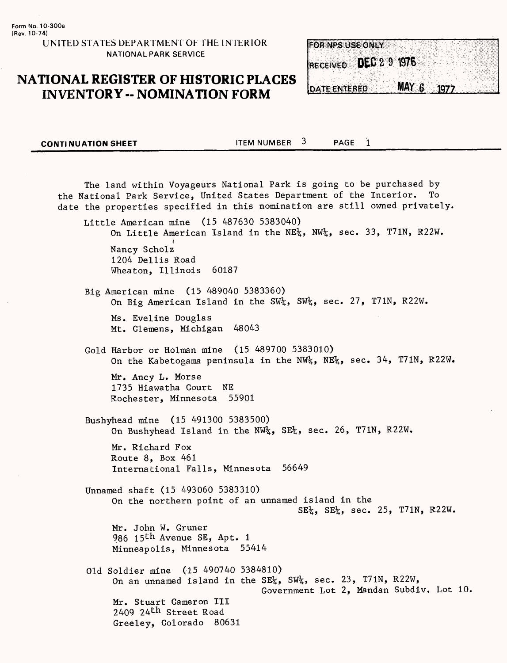**FOR NPS USE ONLY** RECEIVED DEC 2 9 1976 MAY 6 **DATE ENTERED** 1977

**CONTINUATION SHEET ITEM NUMBER** 3 PAGE 1

The land within Voyageurs National Park is going to be purchased by the National Park Service, United States Department of the Interior. To date the properties specified in this nomination are still owned privately. Little American mine (15 487630 5383040) On Little American Island in the NE%, NW%, sec. 33, T71N, R22W. **r** Nancy Scholz 1204 Dellis Road Wheaton, Illinois 60187 Big American mine (15 489040 5383360) On Big American Island in the SW<sub>4</sub>, SW<sub>4</sub>, sec. 27, T71N, R22W. Ms. Eveline Douglas Mt. Clemens, Michigan 48043 Gold Harbor or Holman mine (15 489700 5383010) On the Kabetogama peninsula in the NW%, NE%, sec. 34, T71N, R22W. Mr. Ancy L. Morse 1735 Hiawatha Court NE Rochester, Minnesota 55901 Bushyhead mine (15 491300 5383500) On Bushyhead Island in the NW<sub>4</sub>, SE<sub>4</sub>, sec. 26, T71N, R22W. Mr. Richard Fox Route 8, Box 461 International Falls, Minnesota 56649 Unnamed shaft (15 493060 5383310) On the northern point of an unnamed island in the  $SE_{4}^{1}$ ,  $SE_{4}^{1}$ , sec. 25, T71N, R22W. Mr. John W. Gruner 986 15<sup>th</sup> Avenue SE, Apt. 1 Minneapolis, Minnesota 55414 Old Soldier mine (15 490740 5384810) On an unnamed island in the SE<sup>1</sup><sub>4</sub>, SW<sup>1</sup><sub>2</sub>, sec. 23, T71N, R22W, Government Lot 2, Mandan Subdiv. Lot 10, Mr. Stuart Gameron III 2409 24<sup>th</sup> Street Road Greeley, Colorado 80631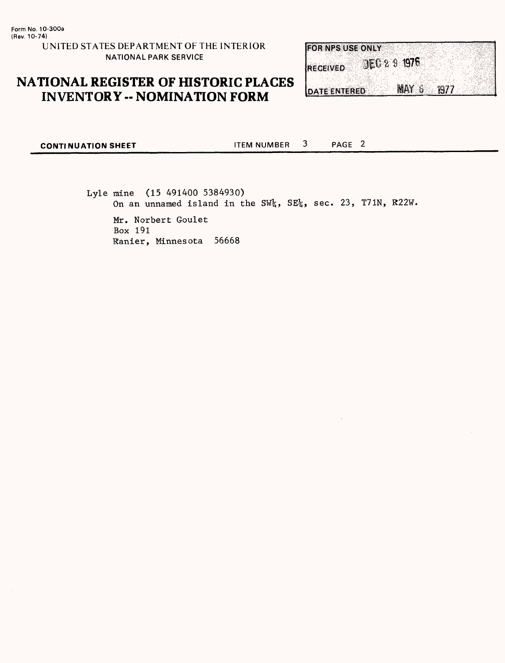

 $\mathbf{3}$ PAGE<sub>2</sub> **CONTINUATION SHEET ITEM NUMBER** 

> Lyle mine (15 491400 5384930) On an unnamed island in the SW<sup>1</sup><sub>2</sub>, SE<sup>1</sup><sub>2</sub>, sec. 23, T71N, R22W. Mr. Norbert Goulet Box 191 Ranier, Minnesota 56668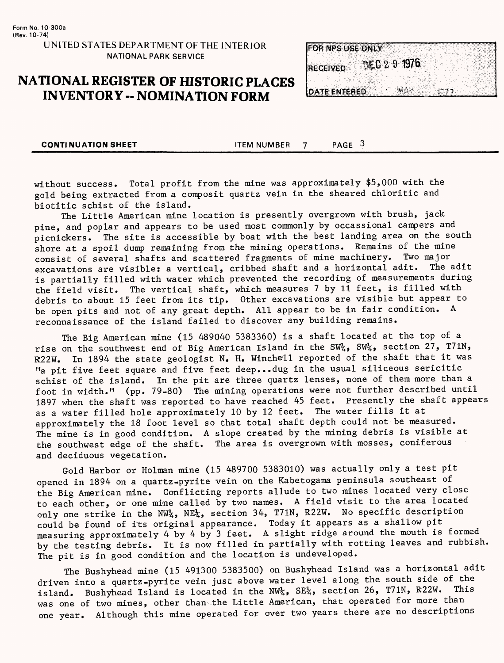|                     | <b>FOR NPS USE ONLY</b> |              |  |
|---------------------|-------------------------|--------------|--|
|                     |                         | DEC 2 9 1976 |  |
| <b>IRECEIVED</b>    |                         |              |  |
|                     |                         |              |  |
| <b>DATE ENTERED</b> |                         | 編集室          |  |

**CONTINUATION SHEET ITEM NUMBER** 7 PAGE 3

without success. Total profit from the mine was approximately \$5,000 with the gold being extracted from a composit quartz vein in the sheared chloritic and biotitic schist of the island.

The Little American mine location is presently overgrown with brush, jack pine, and poplar and appears to be used most commonly by occassional campers and picnickers. The site is accessible by boat with the best landing area on the south shore at a spoil dump remaining from the mining operations. Remains of the mine consist of several shafts and scattered fragments of mine machinery. Two major<br>cuseveriers are visibles a vertical cribbed shaft and a horizontal adit. The adit excavations are visible: a vertical, cribbed shaft and a horizontal adit. is partially filled with water which prevented the recording of measurements during the field visit. The vertical shaft, which measures 7 by 11 feet, is filled with debris to about 15 feet from its tip. Other excavations are visible but appear to be open pits and not of any great depth. All appear to be in fair condition. A reconnaissance of the island failed to discover any building remains.

The Big American mine (15 489040 5383360) is a shaft located at the top of a rise on the southwest end of Big American Island in the SW<sub>4</sub>, SW<sub>4</sub>, section 27, T71N, R22W. In 1894 the state geologist N. H. Winchell reported of the shaft that it was "a pit five feet square and five feet deep...dug in the usual siliceous sericitic schist of the island. In the pit are three quartz lenses, none of them more than a foot in width." (pp. 79-80) The mining operations were not further described until 1897 when the shaft was reported to have reached 45 feet. Presently the shaft appears<br>as a water filled hole approximately 10 by 12 feet. The water fills it at as a water filled hole approximately 10 by 12 feet. approximately the 18 foot level so that total shaft depth could not be measured. The mine is in good condition. A slope created by the mining debris is visible at the southwest edge of the shaft. The area is overgrown with mosses, coniferous and deciduous vegetation.

Gold Harbor or Holman mine (15 489700 5383010) was actually only a test pit opened in 1894 on a quartz-pyrite vein on the Kabetogama peninsula southeast of the Big American mine. Conflicting reports allude to two mines located very close to each other, or one mine called by two names. A field visit to the area located only one strike in the NW<sub>4</sub>, NE<sub>4</sub>, section 34, T71N, R22W. No specific description could be found of its original appearance. Today it appears as a shallow pit measuring approximately 4 by 4 by 3 feet. A slight ridge around the mouth is formed by the testing debris. It is now filled in partially with rotting leaves and rubbish. The pit is in good condition and the location is undeveloped.

The Bushyhead mine (15 491300 5383500) on Bushyhead Island was a horizontal adit driven into a quartz-pyrite vein just above water level along the south side of the<br>interest and probable is located in the NW's SE's section 26, T71N, R22W. This island. Bushyhead Island is located in the NW<sub>4</sub>, SE<sub>4</sub>, section 26, T71N, R22W. was one of two mines, other than the Little American, that operated for more than one year. Although this mine operated for over two years there are no descriptions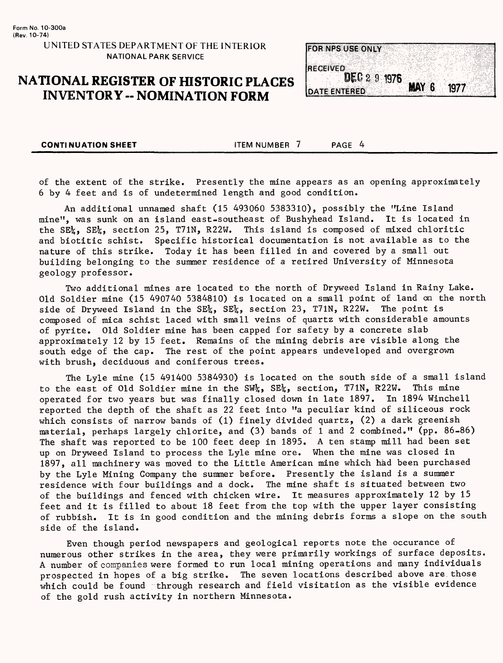

**CONTINUATION SHEET** ITEM NUMBER 7 PAGE 4

of the extent of the strike. Presently the mine appears as an opening approximately 6 by 4 feet and is of undetermined length and good condition.

An additional unnamed shaft (15 493060 5383310), possibly the "Line Island mine", was sunk on an island east-southeast of Bushyhead Island. It is located in the SE%, SE%, section 25, T71N, R22W. This island is composed of mixed chloritic and biotitic schist. Specific historical documentation is not available as to the nature of this strike. Today it has been filled in and covered by a small out building belonging to the summer residence of a retired University of Minnesota geology professor.

Two additional mines are located to the north of Dryweed Island in Rainy Lake. Old Soldier mine (15 490740 5384810) is located on a small point of land on the north side of Dryweed Island in the SE<sup>1</sup><sub>2</sub>, SE<sup>1</sup><sub>2</sub>, section 23, T71N, R22W. The point is composed of mica schist laced with small veins of quartz with considerable amounts of pyrite. Old Soldier mine has been capped for safety by a concrete slab approximately 12 by 15 feet. Remains of the mining debris are visible along the south edge of the cap. The rest of the point appears undeveloped and overgrown with brush, deciduous and coniferous trees.

The Lyle mine (15 491400 5384930) is located on the south side of a small island to the east of Old Soldier mine in the SW%, SE%, section, T71N, R22W. This mine operated for two years but was finally closed down in late 1897. In 1894 Winchell reported the depth of the shaft as 22 feet into "a peculiar kind of siliceous rock which consists of narrow bands of (1) finely divided quartz, (2) a dark greenish material, perhaps largely chlorite, and (3) bands of 1 and 2 combined." (pp. 86-86) The shaft was reported to be 100 feet deep in 1895. A ten stamp mill had been set up on Dryweed Island to process the Lyle mine ore. When the mine was closed in 1897, all machinery was moved to the Little American mine which had been purchased by the Lyle Mining Company the summer before. Presently the island is a summer residence with four buildings and a dock. The mine shaft is situated between two of the buildings and fenced with chicken wire. It measures approximately 12 by 15 feet and it is filled to about 18 feet from the top with the upper layer consisting of rubbish. It is in good condition and the mining debris forms a slope on the south side of the island.

Even though period newspapers and geological reports note the occurance of numerous other strikes in the area, they were primarily workings of surface deposits. A number of companies were formed to run local mining operations and many individuals prospected in hopes of a big strike. The seven locations described above are those which could be found through research and field visitation as the visible evidence of the gold rush activity in northern Minnesota.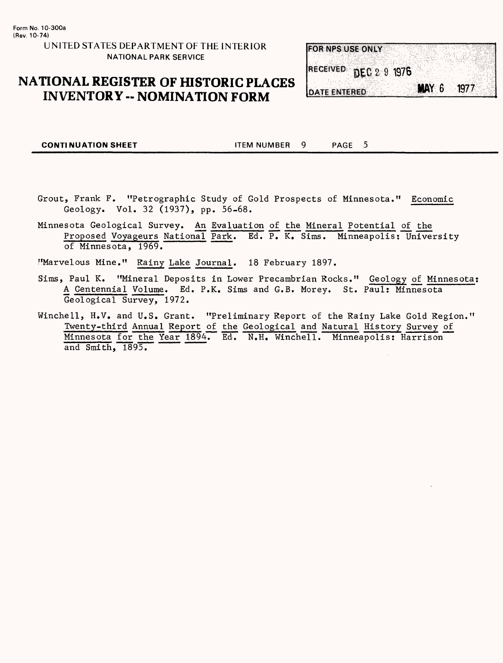#### **UNITED STATES DEPARTMENT OF THE INTERIOR NATIONAL PARK SERVICE**

### **NATIONAL REGISTER OF HISTORIC PLACES INVENTORY -- NOMINATION FORM**

|  | FOR NPS USE ONLY    |                       |              |      |  |
|--|---------------------|-----------------------|--------------|------|--|
|  |                     |                       |              |      |  |
|  |                     |                       |              |      |  |
|  |                     | RECEIVED DEC 2 9 1976 |              |      |  |
|  |                     |                       |              |      |  |
|  | <b>DATE ENTERED</b> |                       | <b>MAY 6</b> | 1977 |  |
|  |                     |                       |              |      |  |

**CONTINUATION SHEET ITEM NUMBER 9** PAGE 5

- Grout, Frank F. "Petrographic Study of Gold Prospects of Minnesota." Economic Geology. Vol. 32 (1937), pp. 56-68.
- Minnesota Geological Survey. An Evaluation of the Mineral Potential of the Proposed Voyageurs National Park. Ed. P. K. Sims. Minneapolis: University of Minnesota, 1969.

? fMarvelous Mine." Rainy Lake Journal. 18 February 1897.

- Sims, Paul K. "Mineral Deposits in Lower Precambrian Rocks." Geology of Minnesota; A Centennial Volume. Ed. P.K. Sims and G.B. Morey. St. Paul: Minnesota Geological Survey, 1972.
- Winchell, H.V. and U.S. Grant. "Preliminary Report of the Rainy Lake Gold Region." Twenty-third Annual Report of the Geological and Natural History Survey of Minnesota for the Year 1894. Ed. N.H. Winchell. Minneapolis: Harrison and Smith, 1895.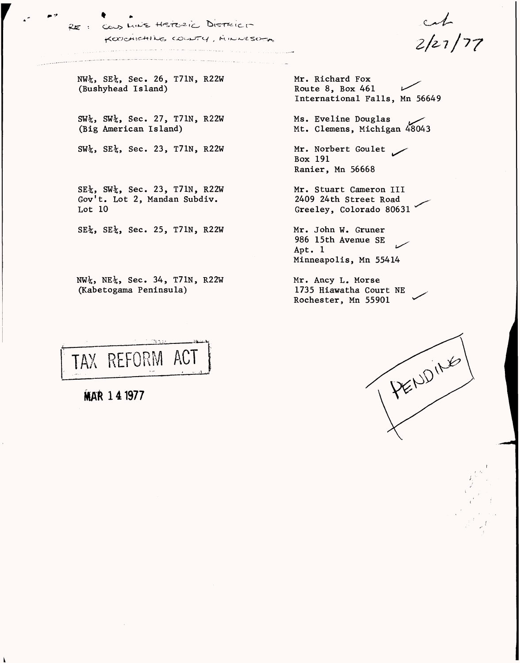$\mathbb{R}^n$  , where  $\mathbb{R}^n$ LINE HISTORIC DISTRICT KOOCHICHING COUNTY, MINUTSOFA

 $2/27/77$ 

NW%, SE%, Sec. *26,* T71N, R22W (Bushyhead Island)

*£jg •*

SW%, SW%, Sec. 27, T71N, R22W (Big American Island)

SW%, SE%, Sec. 23, T71N, R22W

SE%, SW%, Sec. 23, T71N, R22W Gov't. Lot 2, Mandan Subdiv. Lot 10

SE%, SE%, Sec. 25, T71N, R22W

NW%, NE%, Sec. 34, T71N, R22W (Kabetogama Peninsula)

Mr. Richard Fox Route 8, Box 461 *i^^* International Falls, Mn 56649

Ms. Eveline Douglas *^^*  Mt. Clemens, Michigan 48043

Mr. Norbert Goulet Box 191 Ranier, Mn 56668

Mr. Stuart Cameron III 2409 24th Street Road Greeley, Colorado 80631

Mr. John W. Gruner 986 15th Avenue SE Apt. 1 Minneapolis, Mn 55414

Mr. Ancy L. Morse 1735 Hiawatha Court NE Rochester, Mn 55901

TAX REFORM ACT

MAR 141977

Δ

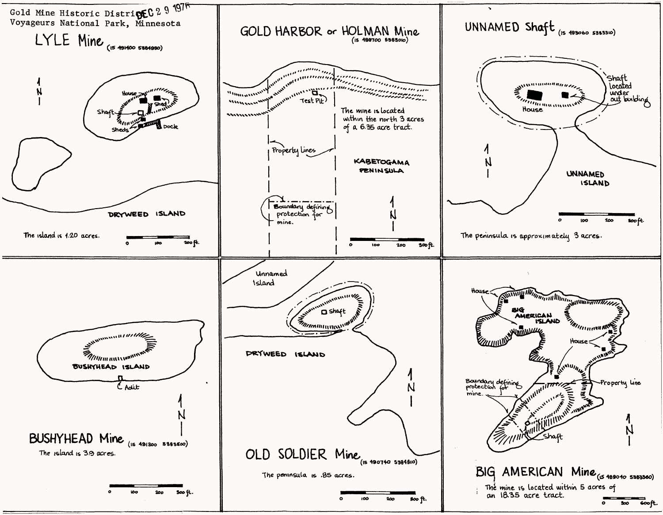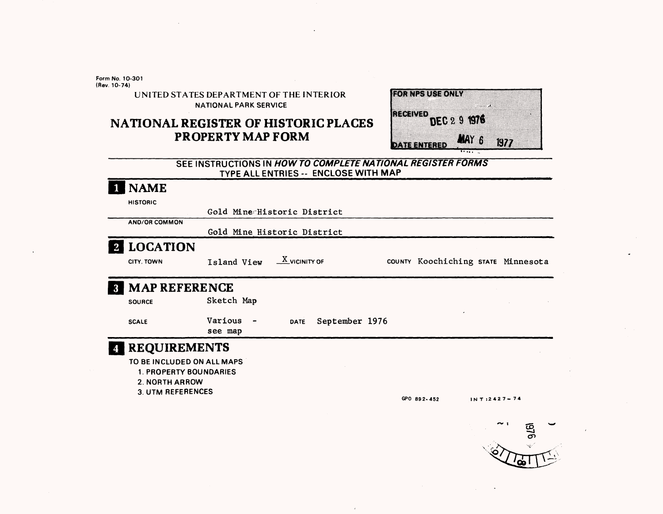**Form No. 10-301 (Rev. 10-74)**

> UNITED STATES DEPARTMENT OF THE INTERIOR NATIONAL PARK SERVICE

## **NATIONAL REGISTER OF HISTORIC PLACES PROPERTY MAP FORM**

| <b>RORUGALISTONIA</b> |                      |
|-----------------------|----------------------|
| ત્ર ત્રમદ્રા ત્ર      | DEC 2 9 1976         |
|                       |                      |
| <u>DATE ENTERED</u>   | <b>NAY 6</b><br>1977 |

#### **SEE INSTRUCTIONS IN HOW TO COMPLETE NATIONAL REGISTER FORMS TYPE ALL ENTRIES -- ENCLOSE WITH MAP**

| <b>NAME</b>                                                                                               |                                                    |                                         |                |                                    |                    |                |  |
|-----------------------------------------------------------------------------------------------------------|----------------------------------------------------|-----------------------------------------|----------------|------------------------------------|--------------------|----------------|--|
| <b>HISTORIC</b>                                                                                           | Gold Mine Historic District                        |                                         |                |                                    |                    |                |  |
| AND/OR COMMON                                                                                             | Gold Mine Historic District                        |                                         |                |                                    |                    |                |  |
| <b>LOCATION</b>                                                                                           |                                                    |                                         |                |                                    |                    |                |  |
| CITY. TOWN                                                                                                | Island View                                        | $\frac{\text{X}}{\text{X}}$ vicinity of |                | COUNTY Koochiching STATE Minnesota |                    |                |  |
| <b>MAP REFERENCE</b>                                                                                      |                                                    |                                         |                |                                    |                    |                |  |
| <b>SOURCE</b>                                                                                             | Sketch Map                                         |                                         |                |                                    |                    |                |  |
| <b>SCALE</b>                                                                                              | Various<br>$\qquad \qquad \blacksquare$<br>see map | <b>DATE</b>                             | September 1976 |                                    |                    |                |  |
| <b>REQUIREMENTS</b>                                                                                       |                                                    |                                         |                |                                    |                    |                |  |
| TO BE INCLUDED ON ALL MAPS<br><b>1. PROPERTY BOUNDARIES</b><br><b>2. NORTH ARROW</b><br>3. UTM REFERENCES |                                                    |                                         |                |                                    |                    |                |  |
|                                                                                                           |                                                    |                                         |                | GPO 892-452                        | $1N$ T:2427 $-$ 74 |                |  |
|                                                                                                           |                                                    |                                         |                |                                    |                    | $\sim$ 1<br>ĩō |  |

 $\lambda$ 

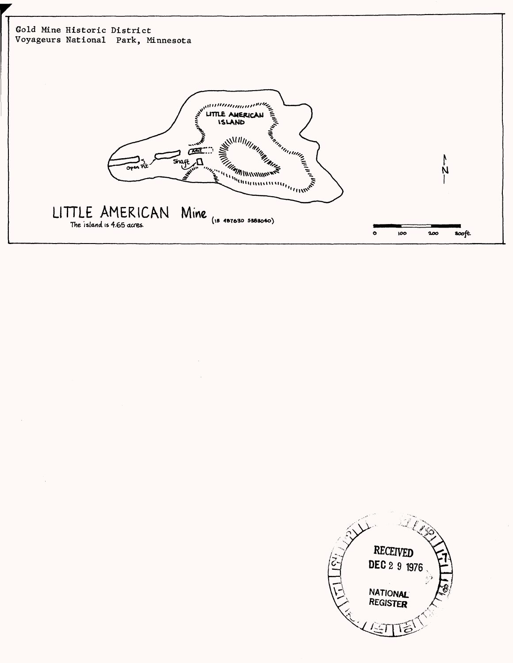

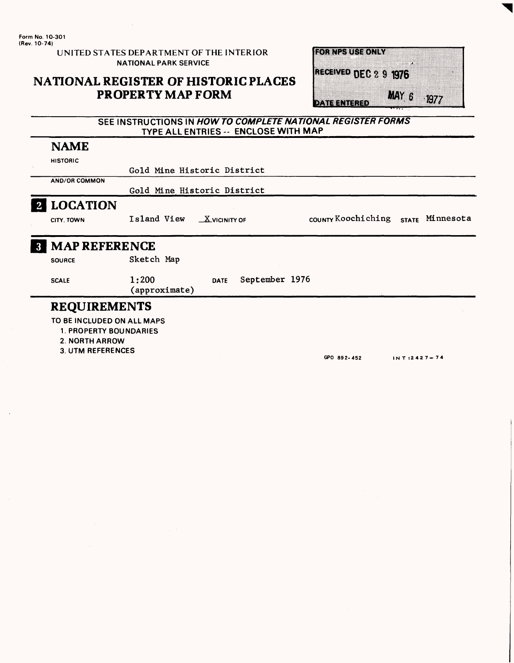**Form No. 10-301 (Rev. 10-74)**

UNITED STATES DEPARTMENT OF THE INTERIOR NATIONAL PARK SERVICE

## **NATIONAL REGISTER OF HISTORIC PLACES PROPERTY MAP FORM**

| <b>ROTALIZATIS AONIAN</b> |                     |
|---------------------------|---------------------|
| RECEIVED DEC 2 9 1976     |                     |
| owean and a               | <b>MAY 6</b><br>197 |

#### SEE INSTRUCTIONS IN **HOW TO COMPLETE NATIONAL REGISTER FORMS**  TYPE ALL ENTRIES -- ENCLOSE WITH MAP

# NAME

|                | <b>HISTORIC</b>                                                               |                                                                         |  |  |  |  |  |
|----------------|-------------------------------------------------------------------------------|-------------------------------------------------------------------------|--|--|--|--|--|
|                |                                                                               | Gold Mine Historic District                                             |  |  |  |  |  |
|                | AND/OR COMMON                                                                 |                                                                         |  |  |  |  |  |
|                |                                                                               | Gold Mine Historic District                                             |  |  |  |  |  |
| $\overline{2}$ | <b>LOCATION</b>                                                               |                                                                         |  |  |  |  |  |
|                | CITY. TOWN                                                                    | COUNTY KOOChiching<br>Island View<br>STATE Minnesota<br>$X$ VICINITY OF |  |  |  |  |  |
| $\mathbf{3}$   | <b>MAP REFERENCE</b>                                                          |                                                                         |  |  |  |  |  |
|                | <b>SOURCE</b>                                                                 | Sketch Map                                                              |  |  |  |  |  |
|                | <b>SCALE</b>                                                                  | 1:200<br>September 1976<br><b>DATE</b><br>(approximate)                 |  |  |  |  |  |
|                | <b>REQUIREMENTS</b>                                                           |                                                                         |  |  |  |  |  |
|                | TO BE INCLUDED ON ALL MAPS<br><b>1. PROPERTY BOUNDARIES</b><br>2. NORTH ARROW |                                                                         |  |  |  |  |  |

**3. UTM REFERENCES**

**GPO 892-452 INT:2 427-74**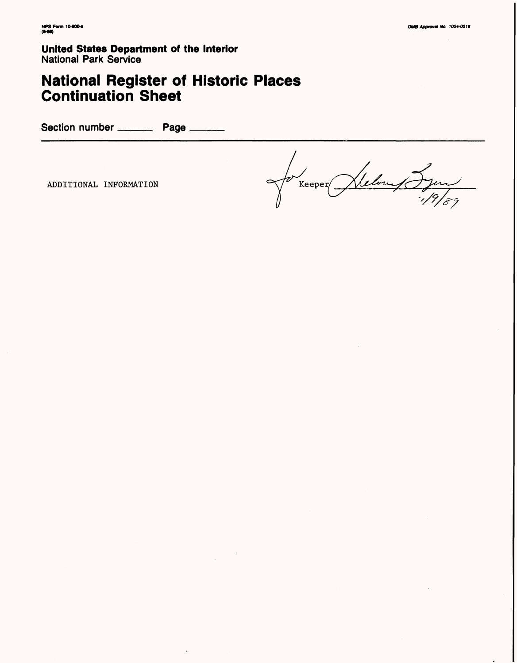**United States Department of the Interior** National Park Service

# **National Register of Historic Places Continuation Sheet**

Section number \_\_\_\_\_\_\_\_\_\_ Page \_\_

Helony Syan ADDITIONAL INFORMATION **being**  $\sqrt{\ell}$  Keeper/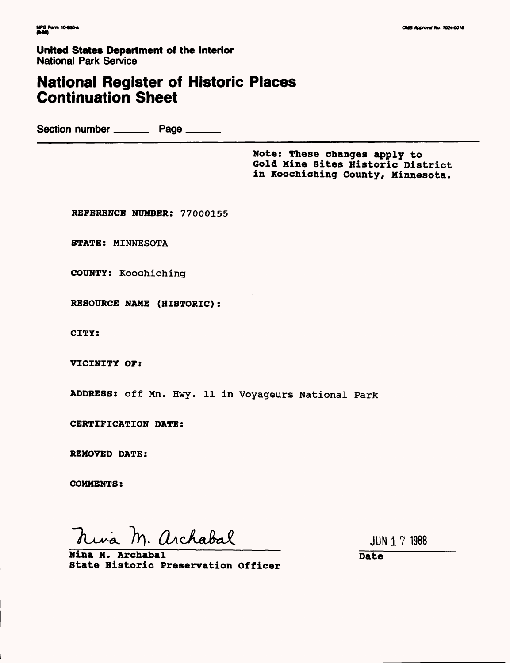**United States Department of the Interior** National Park Service

# **National Register of Historic Places Continuation Sheet**

Section number Page

**Note: These changes apply to Gold Mine Sites Historic District in Koochiching County, Minnesota.**

**REFERENCE NUMBER: 77000155**

STATE: MINNESOTA

COUNTY: Koochiching

**RESOURCE NAME (HISTORIC):**

**CITY:**

**VICINITY OP:**

**ADDRESS: off** Mn. Hwy. 11 in Voyageurs National Park

**CERTIFICATION DATE:**

**REMOVED DATE:**

**COMMENTS:**

nina M. archabal

JUN 1 7 1988

**Nina M. Archabal State Historic Preservation Officer**

**Date**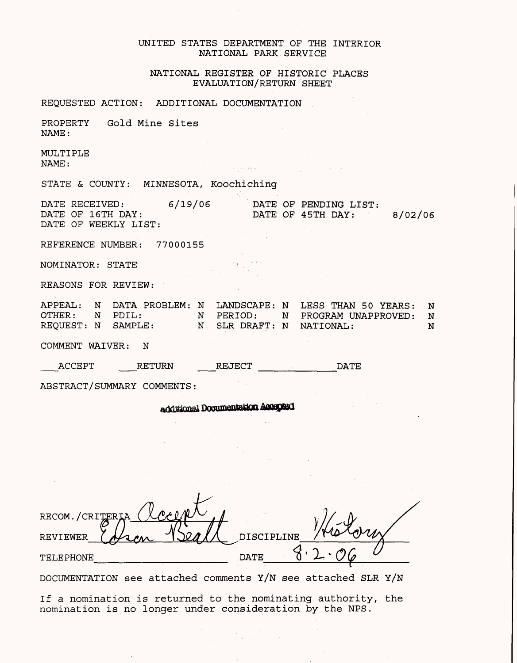#### UNITED STATES DEPARTMENT OF THE INTERIOR NATIONAL PARK SERVICE

#### NATIONAL REGISTER QF HISTORIC PLACES EVALUATION/RETURN SHEET

REQUESTED ACTION: ADDITIONAL DOCUMENTATION

PROPERTY Gold Mine Sites NAME:

MULTIPLE NAME:

STATE & COUNTY: MINNESOTA, Koochiching

DATE RECEIVED: DATE OF 16TH DAY: DATE OF WEEKLY LIST: 6/19/06 DATE OF PENDING LIST: DATE OF 45TH DAY: 8/02/06

والمستوار والمتهامة والمتوارث والمستور والمتناوب

REFERENCE NUMBER: 77000155

NOMINATOR: STATE

REASONS FOR REVIEW:

APPEAL: N DATA PROBLEM: N LANDSCAPE: N LESS THAN 50 YEARS: N OTHER: N PDIL: N PERIOD: N PROGRAM UNAPPROVED: N REQUEST: N SAMPLE: N SLR DRAFT: N NATIONAL: N N

COMMENT WAIVER: N

\_\_ACCEPT \_\_RETURN REJECT DATE

ABSTRACT/SUMMARY COMMENTS:

additional Documentation Accepted

| RECOM./CRITER   |          |  |
|-----------------|----------|--|
| <b>REVIEWER</b> | SCIPLINE |  |
| TELEPHONE       | DATE     |  |

DOCUMENTATION see attached comments Y/N see attached SLR Y/N

If a nomination is returned to the nominating authority, the nomination is no longer under consideration by the NPS.